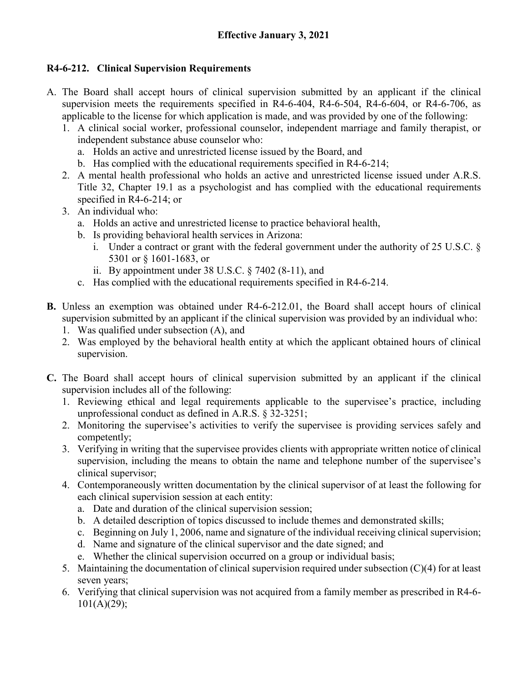## **R4-6-212. Clinical Supervision Requirements**

- A. The Board shall accept hours of clinical supervision submitted by an applicant if the clinical supervision meets the requirements specified in R4-6-404, R4-6-504, R4-6-604, or R4-6-706, as applicable to the license for which application is made, and was provided by one of the following:
	- 1. A clinical social worker, professional counselor, independent marriage and family therapist, or independent substance abuse counselor who:
		- a. Holds an active and unrestricted license issued by the Board, and
		- b. Has complied with the educational requirements specified in R4-6-214;
	- 2. A mental health professional who holds an active and unrestricted license issued under A.R.S. Title 32, Chapter 19.1 as a psychologist and has complied with the educational requirements specified in R4-6-214; or
	- 3. An individual who:
		- a. Holds an active and unrestricted license to practice behavioral health,
		- b. Is providing behavioral health services in Arizona:
			- i. Under a contract or grant with the federal government under the authority of 25 U.S.C. § 5301 or § 1601-1683, or
			- ii. By appointment under 38 U.S.C. § 7402 (8-11), and
		- c. Has complied with the educational requirements specified in R4-6-214.
- **B.** Unless an exemption was obtained under R4-6-212.01, the Board shall accept hours of clinical supervision submitted by an applicant if the clinical supervision was provided by an individual who:
	- 1. Was qualified under subsection (A), and
	- 2. Was employed by the behavioral health entity at which the applicant obtained hours of clinical supervision.
- **C.** The Board shall accept hours of clinical supervision submitted by an applicant if the clinical supervision includes all of the following:
	- 1. Reviewing ethical and legal requirements applicable to the supervisee's practice, including unprofessional conduct as defined in A.R.S. § 32-3251;
	- 2. Monitoring the supervisee's activities to verify the supervisee is providing services safely and competently;
	- 3. Verifying in writing that the supervisee provides clients with appropriate written notice of clinical supervision, including the means to obtain the name and telephone number of the supervisee's clinical supervisor;
	- 4. Contemporaneously written documentation by the clinical supervisor of at least the following for each clinical supervision session at each entity:
		- a. Date and duration of the clinical supervision session;
		- b. A detailed description of topics discussed to include themes and demonstrated skills;
		- c. Beginning on July 1, 2006, name and signature of the individual receiving clinical supervision;
		- d. Name and signature of the clinical supervisor and the date signed; and
		- e. Whether the clinical supervision occurred on a group or individual basis;
	- 5. Maintaining the documentation of clinical supervision required under subsection (C)(4) for at least seven years;
	- 6. Verifying that clinical supervision was not acquired from a family member as prescribed in R4-6-  $101(A)(29);$